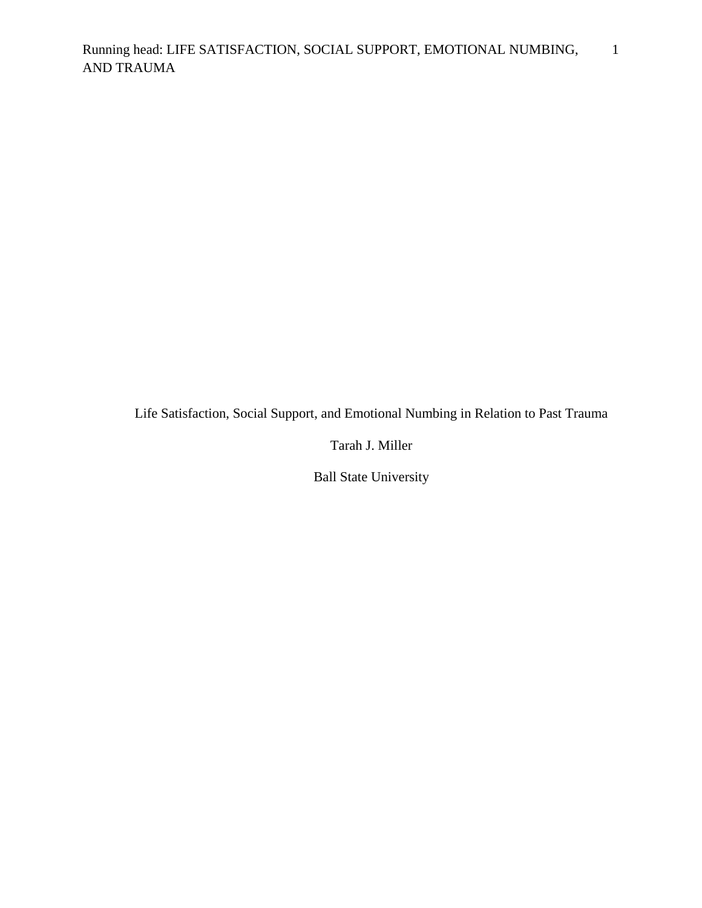Life Satisfaction, Social Support, and Emotional Numbing in Relation to Past Trauma

Tarah J. Miller

Ball State University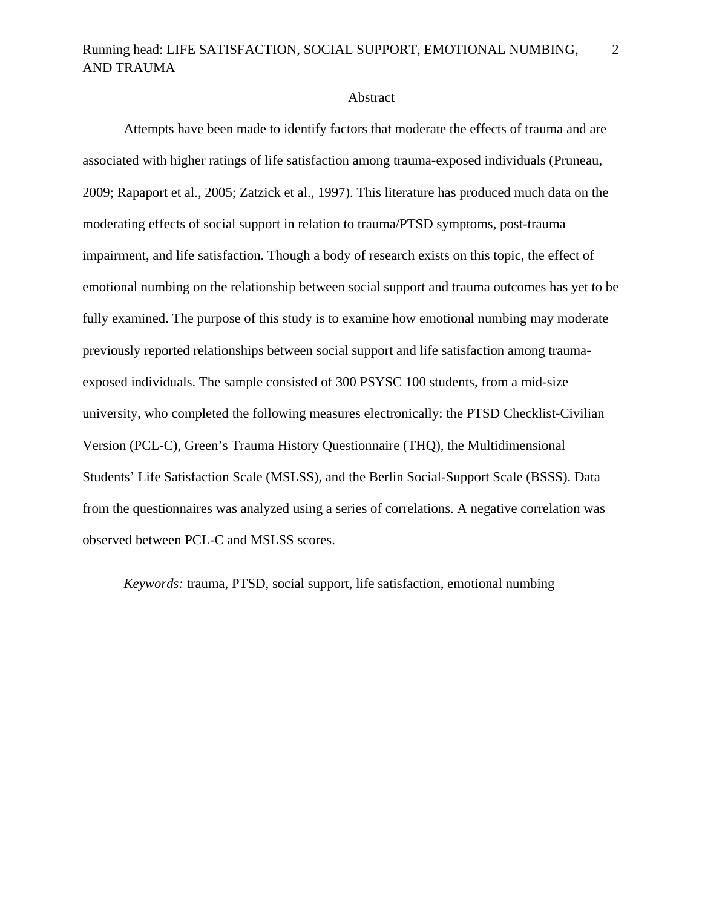### Abstract

Attempts have been made to identify factors that moderate the effects of trauma and are associated with higher ratings of life satisfaction among trauma-exposed individuals (Pruneau, 2009; Rapaport et al., 2005; Zatzick et al., 1997). This literature has produced much data on the moderating effects of social support in relation to trauma/PTSD symptoms, post-trauma impairment, and life satisfaction. Though a body of research exists on this topic, the effect of emotional numbing on the relationship between social support and trauma outcomes has yet to be fully examined. The purpose of this study is to examine how emotional numbing may moderate previously reported relationships between social support and life satisfaction among traumaexposed individuals. The sample consisted of 300 PSYSC 100 students, from a mid-size university, who completed the following measures electronically: the PTSD Checklist-Civilian Version (PCL-C), Green's Trauma History Questionnaire (THQ), the Multidimensional Students' Life Satisfaction Scale (MSLSS), and the Berlin Social-Support Scale (BSSS). Data from the questionnaires was analyzed using a series of correlations. A negative correlation was observed between PCL-C and MSLSS scores.

*Keywords:* trauma, PTSD, social support, life satisfaction, emotional numbing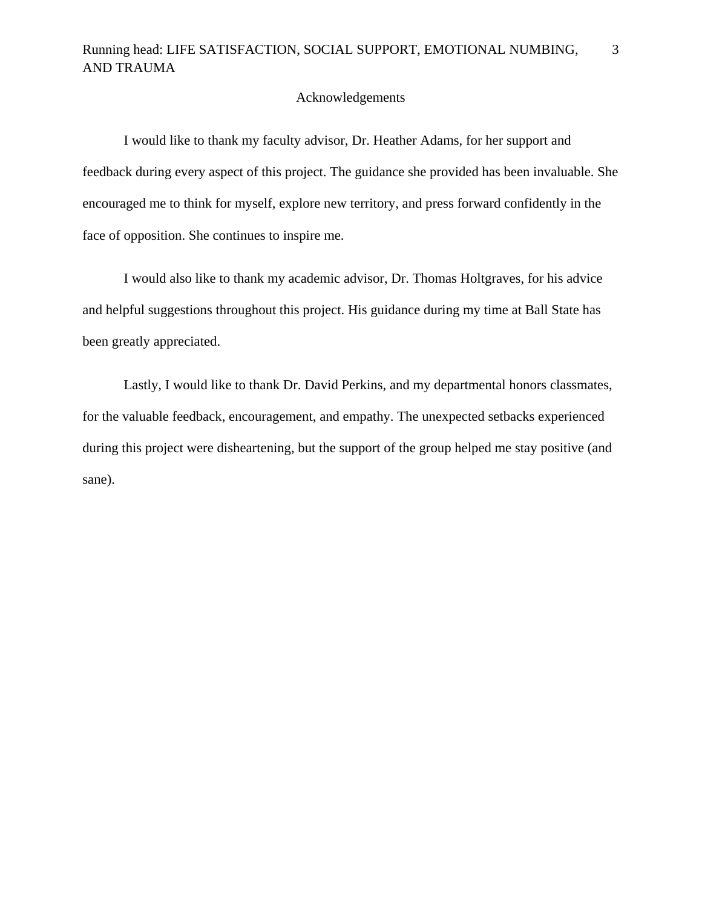## Acknowledgements

 I would like to thank my faculty advisor, Dr. Heather Adams, for her support and feedback during every aspect of this project. The guidance she provided has been invaluable. She encouraged me to think for myself, explore new territory, and press forward confidently in the face of opposition. She continues to inspire me.

 I would also like to thank my academic advisor, Dr. Thomas Holtgraves, for his advice and helpful suggestions throughout this project. His guidance during my time at Ball State has been greatly appreciated.

 Lastly, I would like to thank Dr. David Perkins, and my departmental honors classmates, for the valuable feedback, encouragement, and empathy. The unexpected setbacks experienced during this project were disheartening, but the support of the group helped me stay positive (and sane).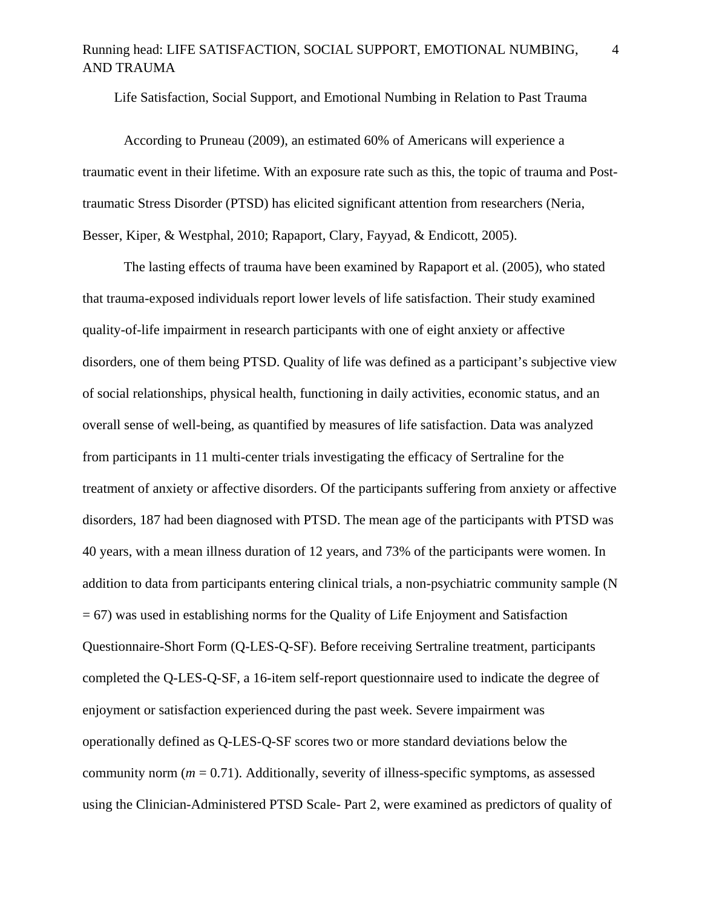Life Satisfaction, Social Support, and Emotional Numbing in Relation to Past Trauma

According to Pruneau (2009), an estimated 60% of Americans will experience a traumatic event in their lifetime. With an exposure rate such as this, the topic of trauma and Posttraumatic Stress Disorder (PTSD) has elicited significant attention from researchers (Neria, Besser, Kiper, & Westphal, 2010; Rapaport, Clary, Fayyad, & Endicott, 2005).

The lasting effects of trauma have been examined by Rapaport et al. (2005), who stated that trauma-exposed individuals report lower levels of life satisfaction. Their study examined quality-of-life impairment in research participants with one of eight anxiety or affective disorders, one of them being PTSD. Quality of life was defined as a participant's subjective view of social relationships, physical health, functioning in daily activities, economic status, and an overall sense of well-being, as quantified by measures of life satisfaction. Data was analyzed from participants in 11 multi-center trials investigating the efficacy of Sertraline for the treatment of anxiety or affective disorders. Of the participants suffering from anxiety or affective disorders, 187 had been diagnosed with PTSD. The mean age of the participants with PTSD was 40 years, with a mean illness duration of 12 years, and 73% of the participants were women. In addition to data from participants entering clinical trials, a non-psychiatric community sample (N  $= 67$ ) was used in establishing norms for the Quality of Life Enjoyment and Satisfaction Questionnaire-Short Form (Q-LES-Q-SF). Before receiving Sertraline treatment, participants completed the Q-LES-Q-SF, a 16-item self-report questionnaire used to indicate the degree of enjoyment or satisfaction experienced during the past week. Severe impairment was operationally defined as Q-LES-Q-SF scores two or more standard deviations below the community norm ( $m = 0.71$ ). Additionally, severity of illness-specific symptoms, as assessed using the Clinician-Administered PTSD Scale- Part 2, were examined as predictors of quality of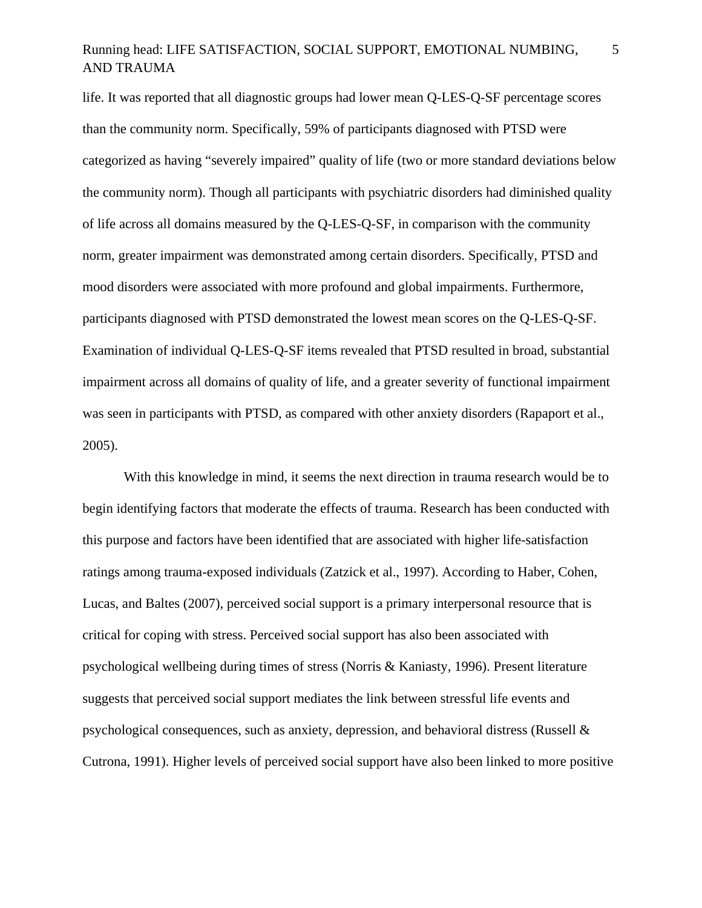life. It was reported that all diagnostic groups had lower mean Q-LES-Q-SF percentage scores than the community norm. Specifically, 59% of participants diagnosed with PTSD were categorized as having "severely impaired" quality of life (two or more standard deviations below the community norm). Though all participants with psychiatric disorders had diminished quality of life across all domains measured by the Q-LES-Q-SF, in comparison with the community norm, greater impairment was demonstrated among certain disorders. Specifically, PTSD and mood disorders were associated with more profound and global impairments. Furthermore, participants diagnosed with PTSD demonstrated the lowest mean scores on the Q-LES-Q-SF. Examination of individual Q-LES-Q-SF items revealed that PTSD resulted in broad, substantial impairment across all domains of quality of life, and a greater severity of functional impairment was seen in participants with PTSD, as compared with other anxiety disorders (Rapaport et al., 2005).

With this knowledge in mind, it seems the next direction in trauma research would be to begin identifying factors that moderate the effects of trauma. Research has been conducted with this purpose and factors have been identified that are associated with higher life-satisfaction ratings among trauma-exposed individuals (Zatzick et al., 1997). According to Haber, Cohen, Lucas, and Baltes (2007), perceived social support is a primary interpersonal resource that is critical for coping with stress. Perceived social support has also been associated with psychological wellbeing during times of stress (Norris & Kaniasty, 1996). Present literature suggests that perceived social support mediates the link between stressful life events and psychological consequences, such as anxiety, depression, and behavioral distress (Russell & Cutrona, 1991). Higher levels of perceived social support have also been linked to more positive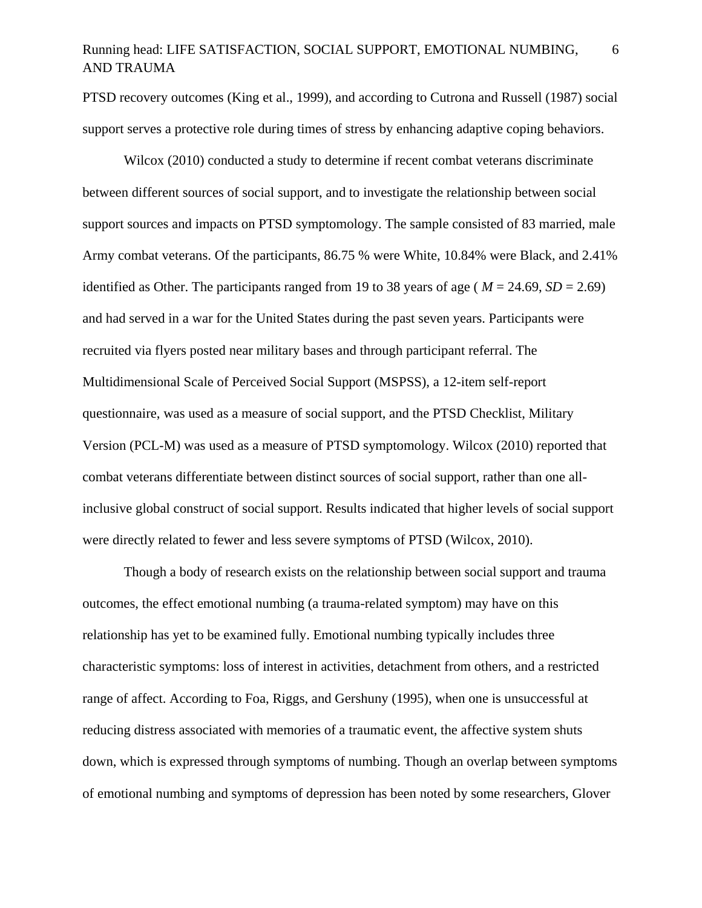PTSD recovery outcomes (King et al., 1999), and according to Cutrona and Russell (1987) social support serves a protective role during times of stress by enhancing adaptive coping behaviors.

Wilcox (2010) conducted a study to determine if recent combat veterans discriminate between different sources of social support, and to investigate the relationship between social support sources and impacts on PTSD symptomology. The sample consisted of 83 married, male Army combat veterans. Of the participants, 86.75 % were White, 10.84% were Black, and 2.41% identified as Other. The participants ranged from 19 to 38 years of age ( $M = 24.69$ ,  $SD = 2.69$ ) and had served in a war for the United States during the past seven years. Participants were recruited via flyers posted near military bases and through participant referral. The Multidimensional Scale of Perceived Social Support (MSPSS), a 12-item self-report questionnaire, was used as a measure of social support, and the PTSD Checklist, Military Version (PCL-M) was used as a measure of PTSD symptomology. Wilcox (2010) reported that combat veterans differentiate between distinct sources of social support, rather than one allinclusive global construct of social support. Results indicated that higher levels of social support were directly related to fewer and less severe symptoms of PTSD (Wilcox, 2010).

Though a body of research exists on the relationship between social support and trauma outcomes, the effect emotional numbing (a trauma-related symptom) may have on this relationship has yet to be examined fully. Emotional numbing typically includes three characteristic symptoms: loss of interest in activities, detachment from others, and a restricted range of affect. According to Foa, Riggs, and Gershuny (1995), when one is unsuccessful at reducing distress associated with memories of a traumatic event, the affective system shuts down, which is expressed through symptoms of numbing. Though an overlap between symptoms of emotional numbing and symptoms of depression has been noted by some researchers, Glover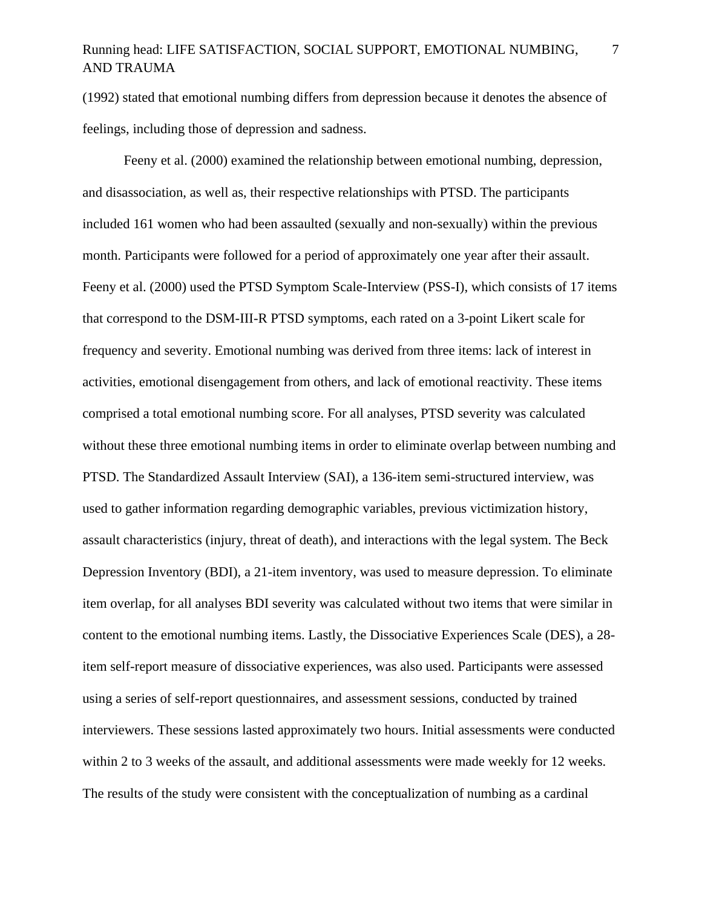7

(1992) stated that emotional numbing differs from depression because it denotes the absence of feelings, including those of depression and sadness.

Feeny et al. (2000) examined the relationship between emotional numbing, depression, and disassociation, as well as, their respective relationships with PTSD. The participants included 161 women who had been assaulted (sexually and non-sexually) within the previous month. Participants were followed for a period of approximately one year after their assault. Feeny et al. (2000) used the PTSD Symptom Scale-Interview (PSS-I), which consists of 17 items that correspond to the DSM-III-R PTSD symptoms, each rated on a 3-point Likert scale for frequency and severity. Emotional numbing was derived from three items: lack of interest in activities, emotional disengagement from others, and lack of emotional reactivity. These items comprised a total emotional numbing score. For all analyses, PTSD severity was calculated without these three emotional numbing items in order to eliminate overlap between numbing and PTSD. The Standardized Assault Interview (SAI), a 136-item semi-structured interview, was used to gather information regarding demographic variables, previous victimization history, assault characteristics (injury, threat of death), and interactions with the legal system. The Beck Depression Inventory (BDI), a 21-item inventory, was used to measure depression. To eliminate item overlap, for all analyses BDI severity was calculated without two items that were similar in content to the emotional numbing items. Lastly, the Dissociative Experiences Scale (DES), a 28 item self-report measure of dissociative experiences, was also used. Participants were assessed using a series of self-report questionnaires, and assessment sessions, conducted by trained interviewers. These sessions lasted approximately two hours. Initial assessments were conducted within 2 to 3 weeks of the assault, and additional assessments were made weekly for 12 weeks. The results of the study were consistent with the conceptualization of numbing as a cardinal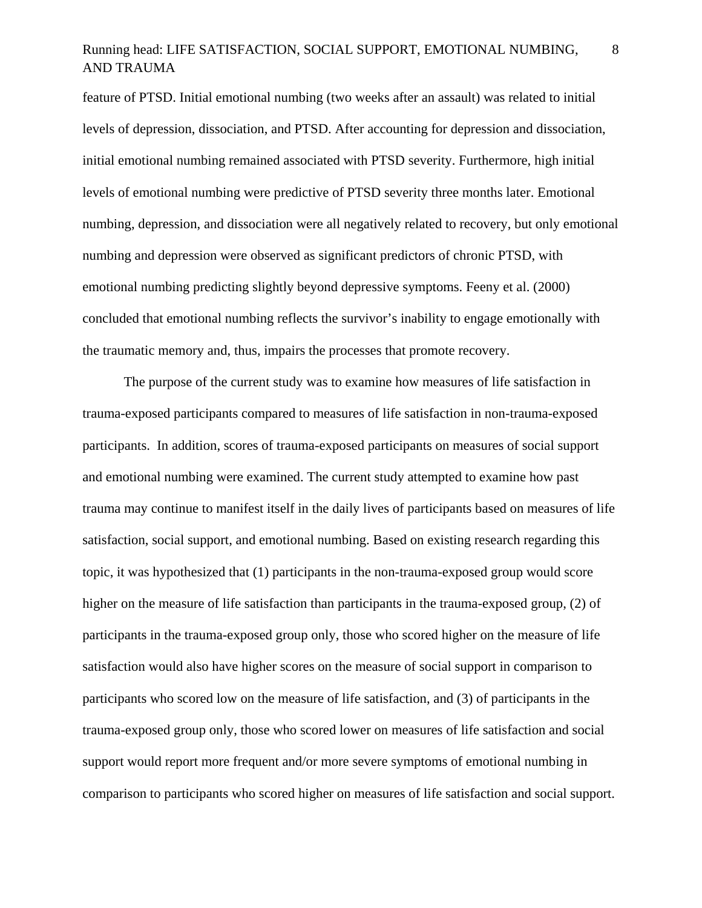feature of PTSD. Initial emotional numbing (two weeks after an assault) was related to initial levels of depression, dissociation, and PTSD. After accounting for depression and dissociation, initial emotional numbing remained associated with PTSD severity. Furthermore, high initial levels of emotional numbing were predictive of PTSD severity three months later. Emotional numbing, depression, and dissociation were all negatively related to recovery, but only emotional numbing and depression were observed as significant predictors of chronic PTSD, with emotional numbing predicting slightly beyond depressive symptoms. Feeny et al. (2000) concluded that emotional numbing reflects the survivor's inability to engage emotionally with the traumatic memory and, thus, impairs the processes that promote recovery.

The purpose of the current study was to examine how measures of life satisfaction in trauma-exposed participants compared to measures of life satisfaction in non-trauma-exposed participants. In addition, scores of trauma-exposed participants on measures of social support and emotional numbing were examined. The current study attempted to examine how past trauma may continue to manifest itself in the daily lives of participants based on measures of life satisfaction, social support, and emotional numbing. Based on existing research regarding this topic, it was hypothesized that (1) participants in the non-trauma-exposed group would score higher on the measure of life satisfaction than participants in the trauma-exposed group, (2) of participants in the trauma-exposed group only, those who scored higher on the measure of life satisfaction would also have higher scores on the measure of social support in comparison to participants who scored low on the measure of life satisfaction, and (3) of participants in the trauma-exposed group only, those who scored lower on measures of life satisfaction and social support would report more frequent and/or more severe symptoms of emotional numbing in comparison to participants who scored higher on measures of life satisfaction and social support.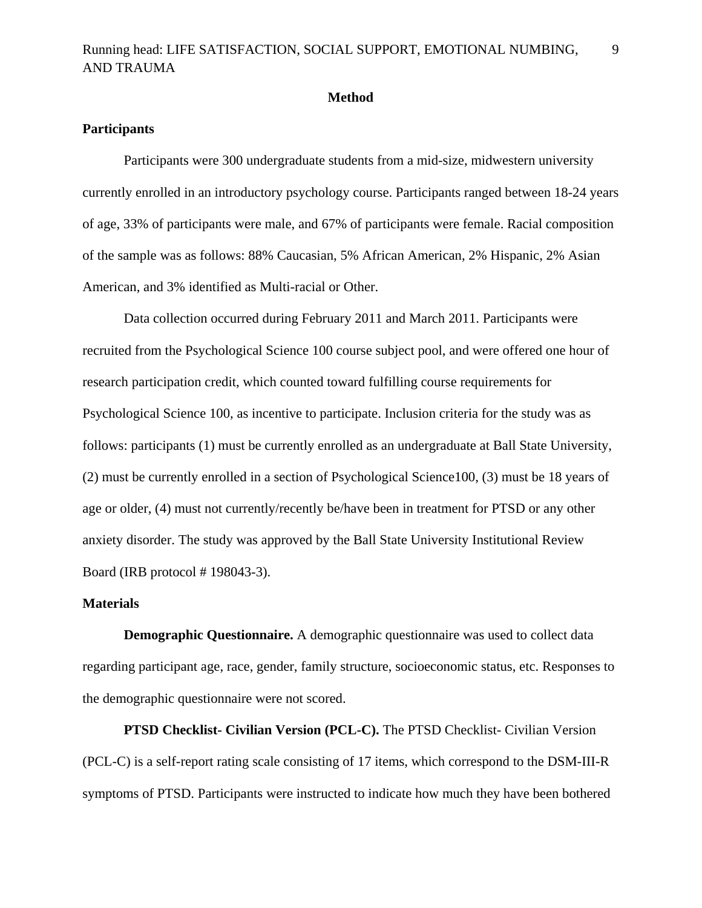### **Method**

## **Participants**

 Participants were 300 undergraduate students from a mid-size, midwestern university currently enrolled in an introductory psychology course. Participants ranged between 18-24 years of age, 33% of participants were male, and 67% of participants were female. Racial composition of the sample was as follows: 88% Caucasian, 5% African American, 2% Hispanic, 2% Asian American, and 3% identified as Multi-racial or Other.

Data collection occurred during February 2011 and March 2011. Participants were recruited from the Psychological Science 100 course subject pool, and were offered one hour of research participation credit, which counted toward fulfilling course requirements for Psychological Science 100, as incentive to participate. Inclusion criteria for the study was as follows: participants (1) must be currently enrolled as an undergraduate at Ball State University, (2) must be currently enrolled in a section of Psychological Science100, (3) must be 18 years of age or older, (4) must not currently/recently be/have been in treatment for PTSD or any other anxiety disorder. The study was approved by the Ball State University Institutional Review Board (IRB protocol # 198043-3).

### **Materials**

**Demographic Questionnaire.** A demographic questionnaire was used to collect data regarding participant age, race, gender, family structure, socioeconomic status, etc. Responses to the demographic questionnaire were not scored.

**PTSD Checklist- Civilian Version (PCL-C).** The PTSD Checklist- Civilian Version (PCL-C) is a self-report rating scale consisting of 17 items, which correspond to the DSM-III-R symptoms of PTSD. Participants were instructed to indicate how much they have been bothered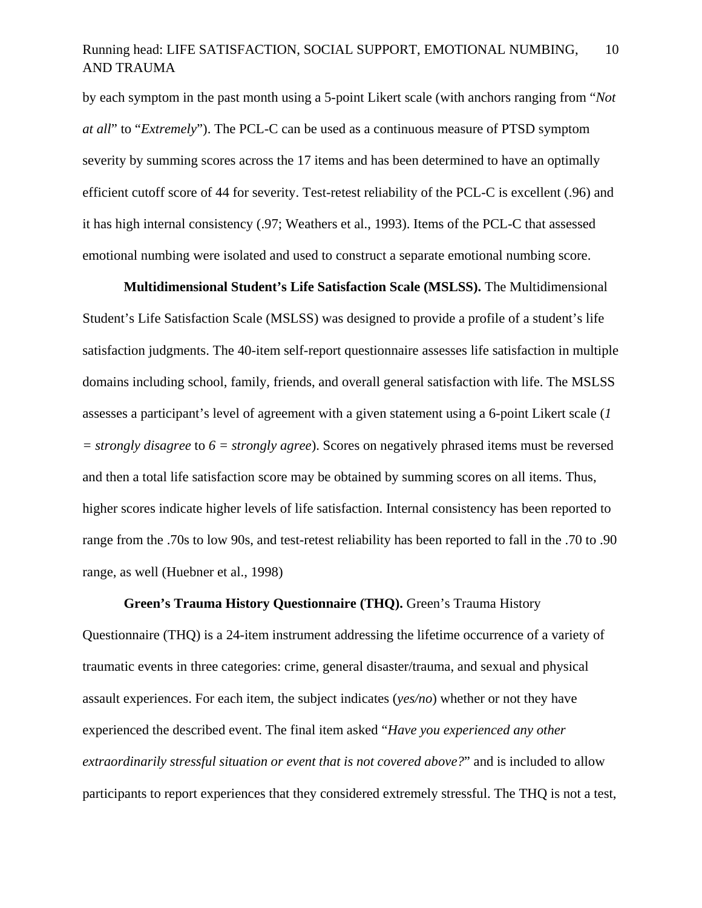by each symptom in the past month using a 5-point Likert scale (with anchors ranging from "*Not at all*" to "*Extremely*"). The PCL-C can be used as a continuous measure of PTSD symptom severity by summing scores across the 17 items and has been determined to have an optimally efficient cutoff score of 44 for severity. Test-retest reliability of the PCL-C is excellent (.96) and it has high internal consistency (.97; Weathers et al., 1993). Items of the PCL-C that assessed emotional numbing were isolated and used to construct a separate emotional numbing score.

**Multidimensional Student's Life Satisfaction Scale (MSLSS).** The Multidimensional Student's Life Satisfaction Scale (MSLSS) was designed to provide a profile of a student's life satisfaction judgments. The 40-item self-report questionnaire assesses life satisfaction in multiple domains including school, family, friends, and overall general satisfaction with life. The MSLSS assesses a participant's level of agreement with a given statement using a 6-point Likert scale (*1 = strongly disagree* to *6 = strongly agree*). Scores on negatively phrased items must be reversed and then a total life satisfaction score may be obtained by summing scores on all items. Thus, higher scores indicate higher levels of life satisfaction. Internal consistency has been reported to range from the .70s to low 90s, and test-retest reliability has been reported to fall in the .70 to .90 range, as well (Huebner et al., 1998)

**Green's Trauma History Questionnaire (THQ).** Green's Trauma History Questionnaire (THQ) is a 24-item instrument addressing the lifetime occurrence of a variety of traumatic events in three categories: crime, general disaster/trauma, and sexual and physical assault experiences. For each item, the subject indicates (*yes/no*) whether or not they have experienced the described event. The final item asked "*Have you experienced any other extraordinarily stressful situation or event that is not covered above?*" and is included to allow participants to report experiences that they considered extremely stressful. The THQ is not a test,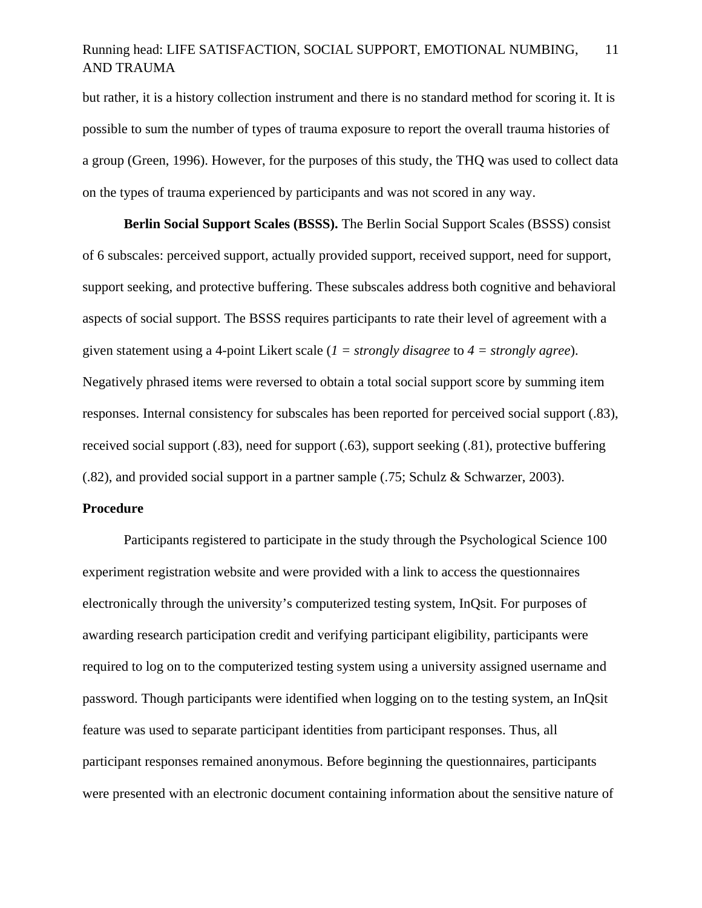but rather, it is a history collection instrument and there is no standard method for scoring it. It is possible to sum the number of types of trauma exposure to report the overall trauma histories of a group (Green, 1996). However, for the purposes of this study, the THQ was used to collect data on the types of trauma experienced by participants and was not scored in any way.

**Berlin Social Support Scales (BSSS).** The Berlin Social Support Scales (BSSS) consist of 6 subscales: perceived support, actually provided support, received support, need for support, support seeking, and protective buffering. These subscales address both cognitive and behavioral aspects of social support. The BSSS requires participants to rate their level of agreement with a given statement using a 4-point Likert scale (*1 = strongly disagree* to *4 = strongly agree*). Negatively phrased items were reversed to obtain a total social support score by summing item responses. Internal consistency for subscales has been reported for perceived social support (.83), received social support (.83), need for support (.63), support seeking (.81), protective buffering (.82), and provided social support in a partner sample (.75; Schulz & Schwarzer, 2003).

### **Procedure**

Participants registered to participate in the study through the Psychological Science 100 experiment registration website and were provided with a link to access the questionnaires electronically through the university's computerized testing system, InQsit. For purposes of awarding research participation credit and verifying participant eligibility, participants were required to log on to the computerized testing system using a university assigned username and password. Though participants were identified when logging on to the testing system, an InQsit feature was used to separate participant identities from participant responses. Thus, all participant responses remained anonymous. Before beginning the questionnaires, participants were presented with an electronic document containing information about the sensitive nature of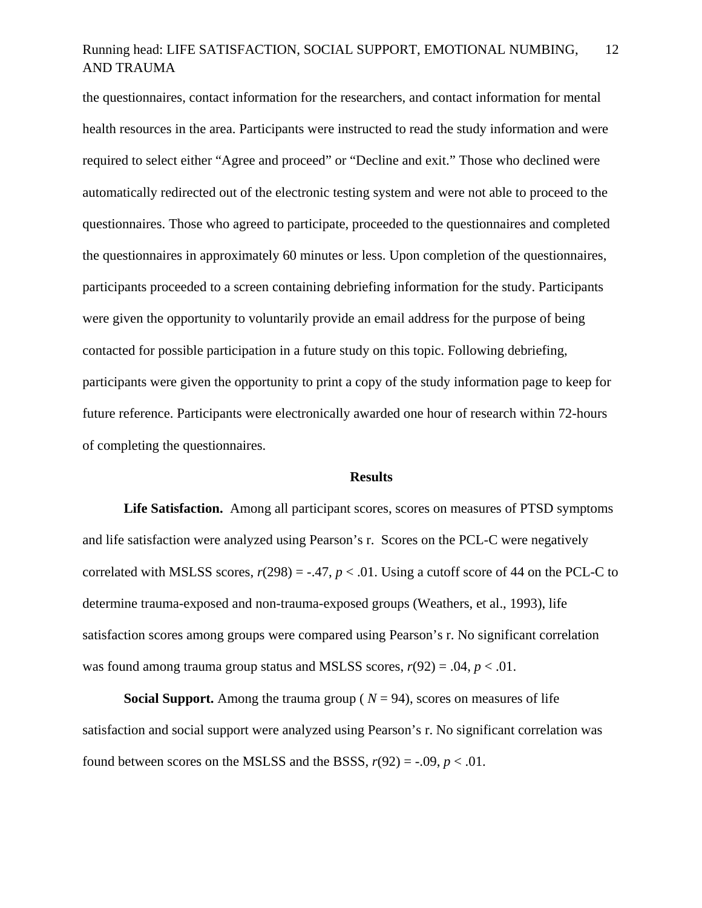the questionnaires, contact information for the researchers, and contact information for mental health resources in the area. Participants were instructed to read the study information and were required to select either "Agree and proceed" or "Decline and exit." Those who declined were automatically redirected out of the electronic testing system and were not able to proceed to the questionnaires. Those who agreed to participate, proceeded to the questionnaires and completed the questionnaires in approximately 60 minutes or less. Upon completion of the questionnaires, participants proceeded to a screen containing debriefing information for the study. Participants were given the opportunity to voluntarily provide an email address for the purpose of being contacted for possible participation in a future study on this topic. Following debriefing, participants were given the opportunity to print a copy of the study information page to keep for future reference. Participants were electronically awarded one hour of research within 72-hours of completing the questionnaires.

### **Results**

**Life Satisfaction.** Among all participant scores, scores on measures of PTSD symptoms and life satisfaction were analyzed using Pearson's r. Scores on the PCL-C were negatively correlated with MSLSS scores,  $r(298) = -.47$ ,  $p < .01$ . Using a cutoff score of 44 on the PCL-C to determine trauma-exposed and non-trauma-exposed groups (Weathers, et al., 1993), life satisfaction scores among groups were compared using Pearson's r. No significant correlation was found among trauma group status and MSLSS scores,  $r(92) = .04$ ,  $p < .01$ .

**Social Support.** Among the trauma group ( $N = 94$ ), scores on measures of life satisfaction and social support were analyzed using Pearson's r. No significant correlation was found between scores on the MSLSS and the BSSS,  $r(92) = -.09$ ,  $p < .01$ .

12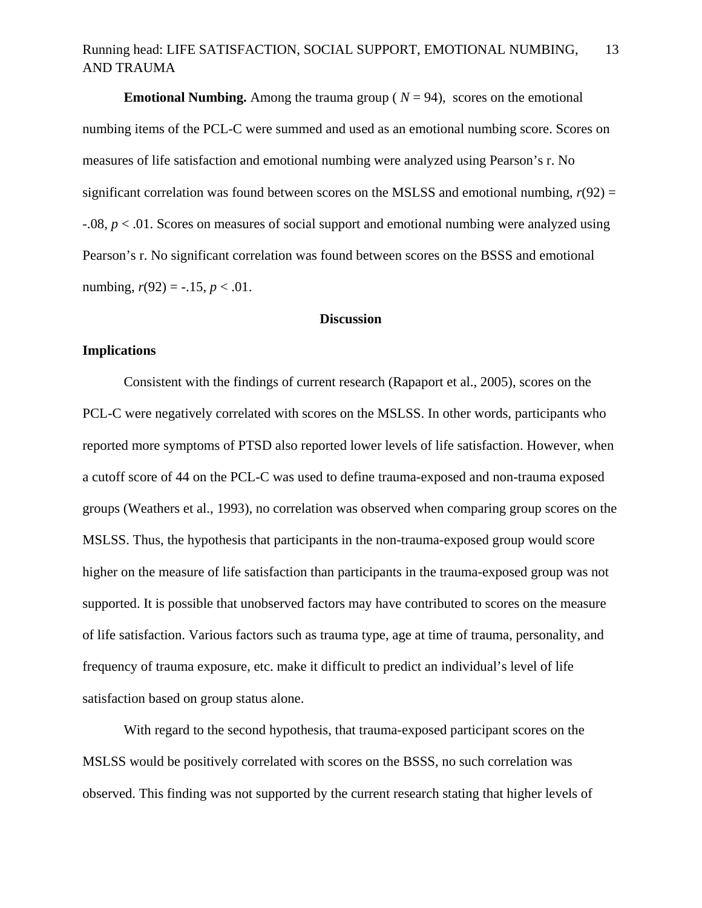**Emotional Numbing.** Among the trauma group ( $N = 94$ ), scores on the emotional numbing items of the PCL-C were summed and used as an emotional numbing score. Scores on measures of life satisfaction and emotional numbing were analyzed using Pearson's r. No significant correlation was found between scores on the MSLSS and emotional numbing,  $r(92) =$ -.08, *p* < .01. Scores on measures of social support and emotional numbing were analyzed using Pearson's r. No significant correlation was found between scores on the BSSS and emotional numbing,  $r(92) = -.15, p < .01$ .

## **Discussion**

### **Implications**

 Consistent with the findings of current research (Rapaport et al., 2005), scores on the PCL-C were negatively correlated with scores on the MSLSS. In other words, participants who reported more symptoms of PTSD also reported lower levels of life satisfaction. However, when a cutoff score of 44 on the PCL-C was used to define trauma-exposed and non-trauma exposed groups (Weathers et al., 1993), no correlation was observed when comparing group scores on the MSLSS. Thus, the hypothesis that participants in the non-trauma-exposed group would score higher on the measure of life satisfaction than participants in the trauma-exposed group was not supported. It is possible that unobserved factors may have contributed to scores on the measure of life satisfaction. Various factors such as trauma type, age at time of trauma, personality, and frequency of trauma exposure, etc. make it difficult to predict an individual's level of life satisfaction based on group status alone.

 With regard to the second hypothesis, that trauma-exposed participant scores on the MSLSS would be positively correlated with scores on the BSSS, no such correlation was observed. This finding was not supported by the current research stating that higher levels of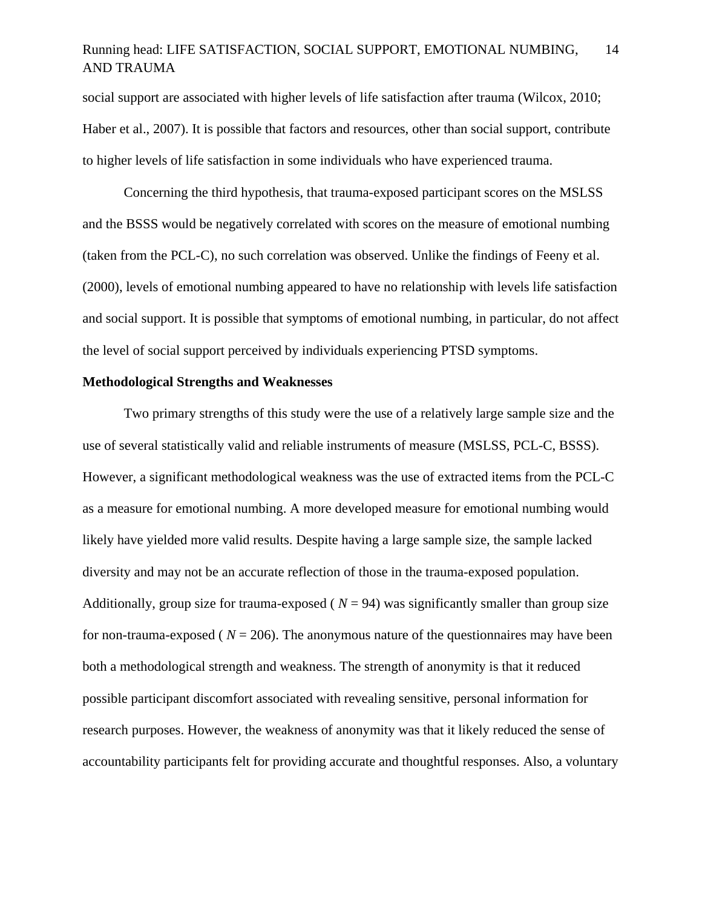social support are associated with higher levels of life satisfaction after trauma (Wilcox, 2010; Haber et al., 2007). It is possible that factors and resources, other than social support, contribute to higher levels of life satisfaction in some individuals who have experienced trauma.

 Concerning the third hypothesis, that trauma-exposed participant scores on the MSLSS and the BSSS would be negatively correlated with scores on the measure of emotional numbing (taken from the PCL-C), no such correlation was observed. Unlike the findings of Feeny et al. (2000), levels of emotional numbing appeared to have no relationship with levels life satisfaction and social support. It is possible that symptoms of emotional numbing, in particular, do not affect the level of social support perceived by individuals experiencing PTSD symptoms.

### **Methodological Strengths and Weaknesses**

 Two primary strengths of this study were the use of a relatively large sample size and the use of several statistically valid and reliable instruments of measure (MSLSS, PCL-C, BSSS). However, a significant methodological weakness was the use of extracted items from the PCL-C as a measure for emotional numbing. A more developed measure for emotional numbing would likely have yielded more valid results. Despite having a large sample size, the sample lacked diversity and may not be an accurate reflection of those in the trauma-exposed population. Additionally, group size for trauma-exposed ( $N = 94$ ) was significantly smaller than group size for non-trauma-exposed ( $N = 206$ ). The anonymous nature of the questionnaires may have been both a methodological strength and weakness. The strength of anonymity is that it reduced possible participant discomfort associated with revealing sensitive, personal information for research purposes. However, the weakness of anonymity was that it likely reduced the sense of accountability participants felt for providing accurate and thoughtful responses. Also, a voluntary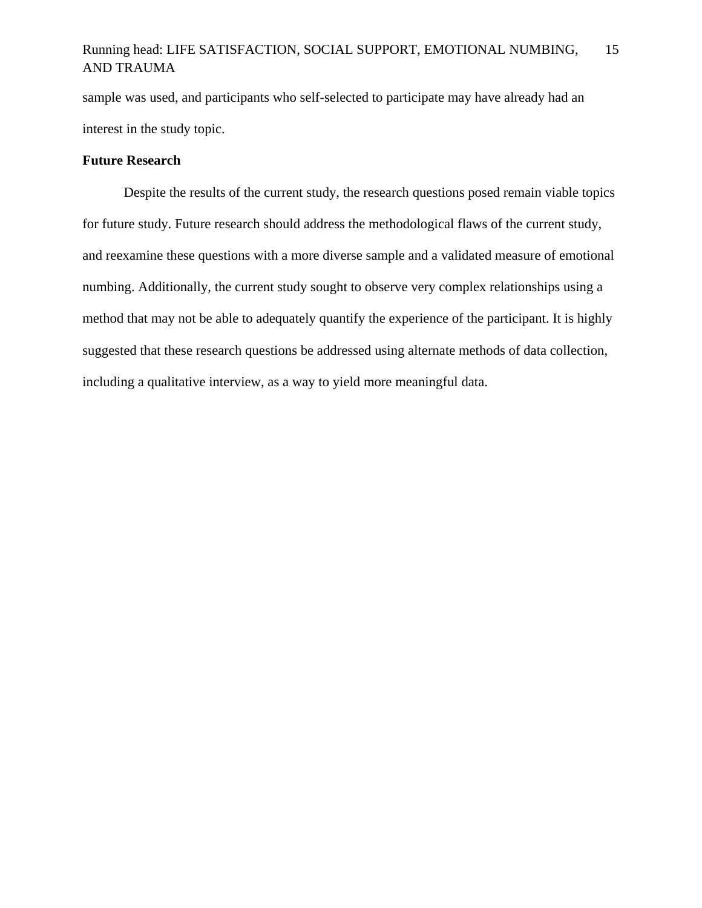sample was used, and participants who self-selected to participate may have already had an interest in the study topic.

## **Future Research**

 Despite the results of the current study, the research questions posed remain viable topics for future study. Future research should address the methodological flaws of the current study, and reexamine these questions with a more diverse sample and a validated measure of emotional numbing. Additionally, the current study sought to observe very complex relationships using a method that may not be able to adequately quantify the experience of the participant. It is highly suggested that these research questions be addressed using alternate methods of data collection, including a qualitative interview, as a way to yield more meaningful data.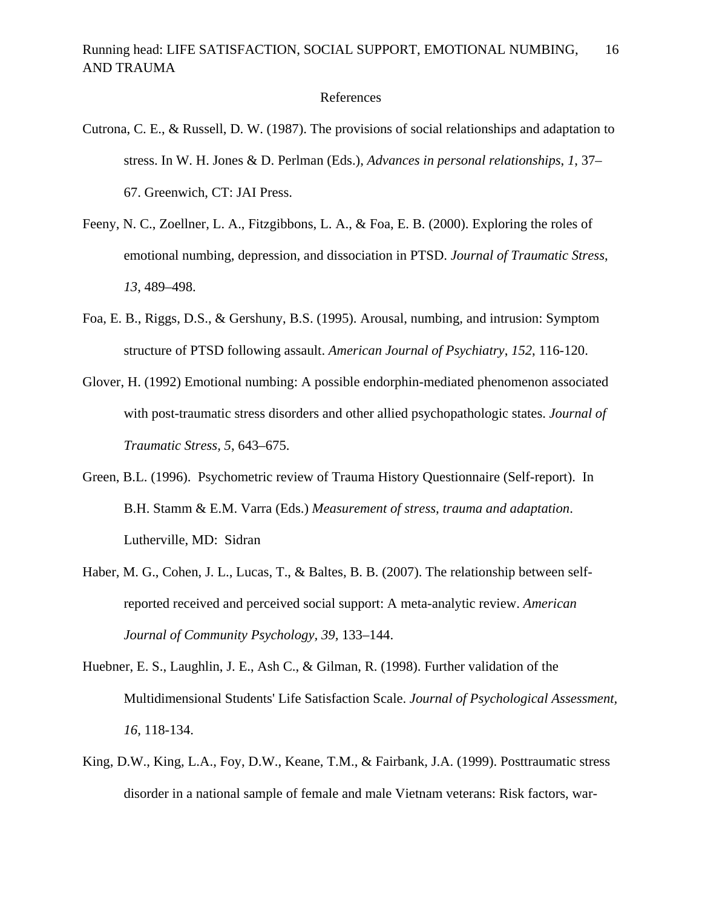### References

- Cutrona, C. E., & Russell, D. W. (1987). The provisions of social relationships and adaptation to stress. In W. H. Jones & D. Perlman (Eds.), *Advances in personal relationships*, *1*, 37– 67. Greenwich, CT: JAI Press.
- Feeny, N. C., Zoellner, L. A., Fitzgibbons, L. A., & Foa, E. B. (2000). Exploring the roles of emotional numbing, depression, and dissociation in PTSD. *Journal of Traumatic Stress*, *13*, 489–498.
- Foa, E. B., Riggs, D.S., & Gershuny, B.S. (1995). Arousal, numbing, and intrusion: Symptom structure of PTSD following assault. *American Journal of Psychiatry*, *152*, 116-120.
- Glover, H. (1992) Emotional numbing: A possible endorphin-mediated phenomenon associated with post-traumatic stress disorders and other allied psychopathologic states. *Journal of Traumatic Stress, 5*, 643–675.
- Green, B.L. (1996). Psychometric review of Trauma History Questionnaire (Self-report). In B.H. Stamm & E.M. Varra (Eds.) *Measurement of stress, trauma and adaptation*. Lutherville, MD: Sidran
- Haber, M. G., Cohen, J. L., Lucas, T., & Baltes, B. B. (2007). The relationship between selfreported received and perceived social support: A meta-analytic review. *American Journal of Community Psychology, 39,* 133–144.
- Huebner, E. S., Laughlin, J. E., Ash C., & Gilman, R. (1998). Further validation of the Multidimensional Students' Life Satisfaction Scale. *Journal of Psychological Assessment, 16*, 118-134.
- King, D.W., King, L.A., Foy, D.W., Keane, T.M., & Fairbank, J.A. (1999). Posttraumatic stress disorder in a national sample of female and male Vietnam veterans: Risk factors, war-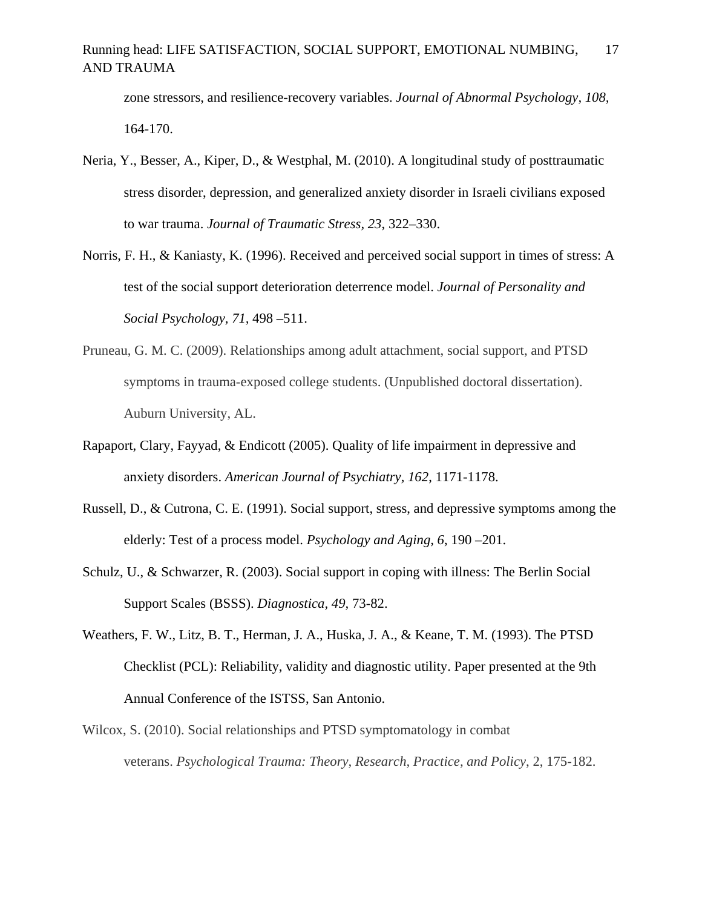zone stressors, and resilience-recovery variables. *Journal of Abnormal Psychology, 108,* 164-170.

- Neria, Y., Besser, A., Kiper, D., & Westphal, M. (2010). A longitudinal study of posttraumatic stress disorder, depression, and generalized anxiety disorder in Israeli civilians exposed to war trauma. *Journal of Traumatic Stress, 23*, 322–330.
- Norris, F. H., & Kaniasty, K. (1996). Received and perceived social support in times of stress: A test of the social support deterioration deterrence model. *Journal of Personality and Social Psychology, 71,* 498 –511.
- Pruneau, G. M. C. (2009). Relationships among adult attachment, social support, and PTSD symptoms in trauma-exposed college students. (Unpublished doctoral dissertation). Auburn University, AL.
- Rapaport, Clary, Fayyad, & Endicott (2005). Quality of life impairment in depressive and anxiety disorders. *American Journal of Psychiatry, 162*, 1171-1178.
- Russell, D., & Cutrona, C. E. (1991). Social support, stress, and depressive symptoms among the elderly: Test of a process model. *Psychology and Aging, 6*, 190 –201.
- Schulz, U., & Schwarzer, R. (2003). Social support in coping with illness: The Berlin Social Support Scales (BSSS). *Diagnostica, 49,* 73-82.
- Weathers, F. W., Litz, B. T., Herman, J. A., Huska, J. A., & Keane, T. M. (1993). The PTSD Checklist (PCL): Reliability, validity and diagnostic utility. Paper presented at the 9th Annual Conference of the ISTSS, San Antonio.
- Wilcox, S. (2010). Social relationships and PTSD symptomatology in combat veterans. *Psychological Trauma: Theory, Research, Practice, and Policy*, 2, 175-182.